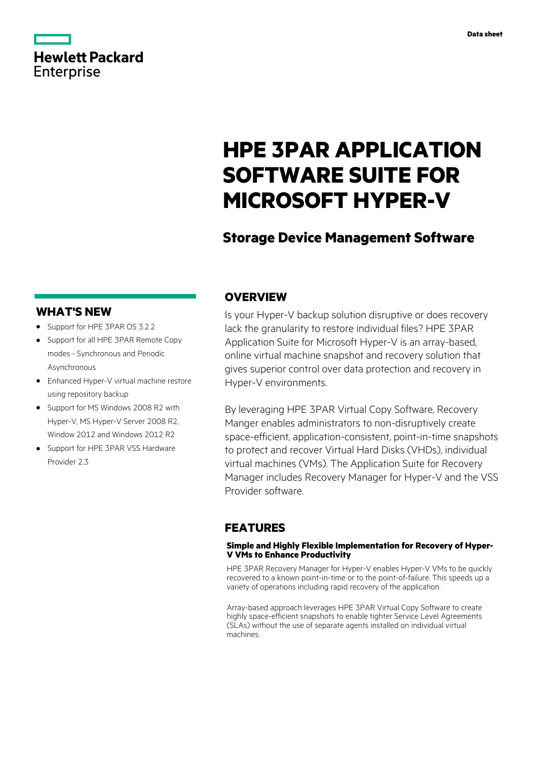# **Hewlett Packard** Enterprise

# **HPE 3PAR APPLICATION SOFTWARE SUITE FOR MICROSOFT HYPER-V**

# **Storage Device Management Software**

## **WHAT'S NEW**

- **·** Support for HPE 3PAR OS 3.2.2
- **·** Support for all HPE 3PAR Remote Copy modes - Synchronous and Periodic Asynchronous
- **·** Enhanced Hyper-V virtual machine restore using repository backup
- **·** Support for MS Windows 2008 R2 with Hyper-V, MS Hyper-V Server 2008 R2, Window 2012 and Windows 2012 R2
- **·** Support for HPE 3PAR VSS Hardware Provider 2.3

## **OVERVIEW**

Is your Hyper-V backup solution disruptive or does recovery lack the granularity to restore individual files? HPE 3PAR Application Suite for Microsoft Hyper-V is an array-based, online virtual machine snapshot and recovery solution that gives superior control over data protection and recovery in Hyper-V environments.

By leveraging HPE 3PAR Virtual Copy Software, Recovery Manger enables administrators to non-disruptively create space-efficient, application-consistent, point-in-time snapshots to protect and recover Virtual Hard Disks (VHDs), individual virtual machines (VMs). The Application Suite for Recovery Manager includes Recovery Manager for Hyper-V and the VSS Provider software.

## **FEATURES**

### **Simple and Highly Flexible Implementation for Recovery of Hyper-V VMs to Enhance Productivity**

HPE 3PAR Recovery Manager for Hyper-V enables Hyper-V VMs to be quickly recovered to a known point-in-time or to the point-of-failure. This speeds up a variety of operations including rapid recovery of the application.

Array-based approach leverages HPE 3PAR Virtual Copy Software to create highly space-efficient snapshots to enable tighter Service Level Agreements (SLAs) without the use of separate agents installed on individual virtual machines.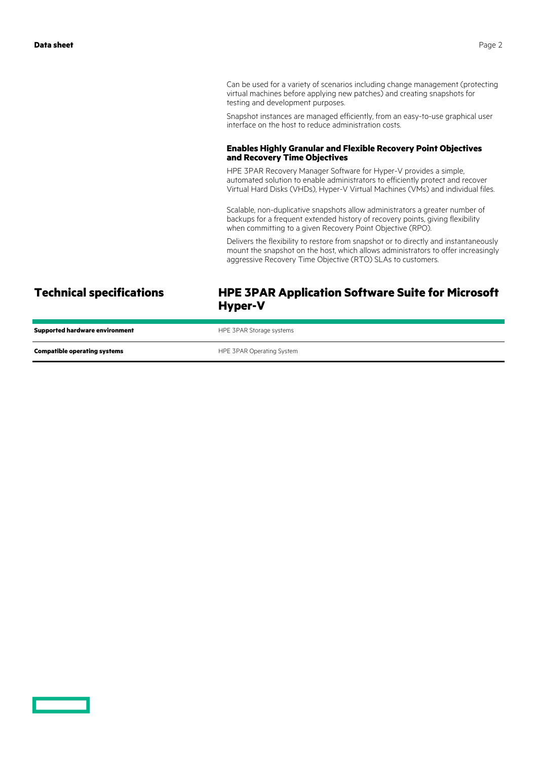Can be used for a variety of scenarios including change management (protecting virtual machines before applying new patches) and creating snapshots for testing and development purposes.

Snapshot instances are managed efficiently, from an easy-to-use graphical user interface on the host to reduce administration costs.

### **Enables Highly Granular and Flexible Recovery Point Objectives and Recovery Time Objectives**

HPE 3PAR Recovery Manager Software for Hyper-V provides a simple, automated solution to enable administrators to efficiently protect and recover Virtual Hard Disks (VHDs), Hyper-V Virtual Machines (VMs) and individual files.

Scalable, non-duplicative snapshots allow administrators a greater number of backups for a frequent extended history of recovery points, giving flexibility when committing to a given Recovery Point Objective (RPO).

Delivers the flexibility to restore from snapshot or to directly and instantaneously mount the snapshot on the host, which allows administrators to offer increasingly aggressive Recovery Time Objective (RTO) SLAs to customers.

### **Technical specifications HPE 3PAR Application Software Suite for Microsoft Hyper-V**

| <b>Supported hardware environment</b> | HPE 3PAR Storage systems  |
|---------------------------------------|---------------------------|
| <b>Compatible operating systems</b>   | HPE 3PAR Operating System |